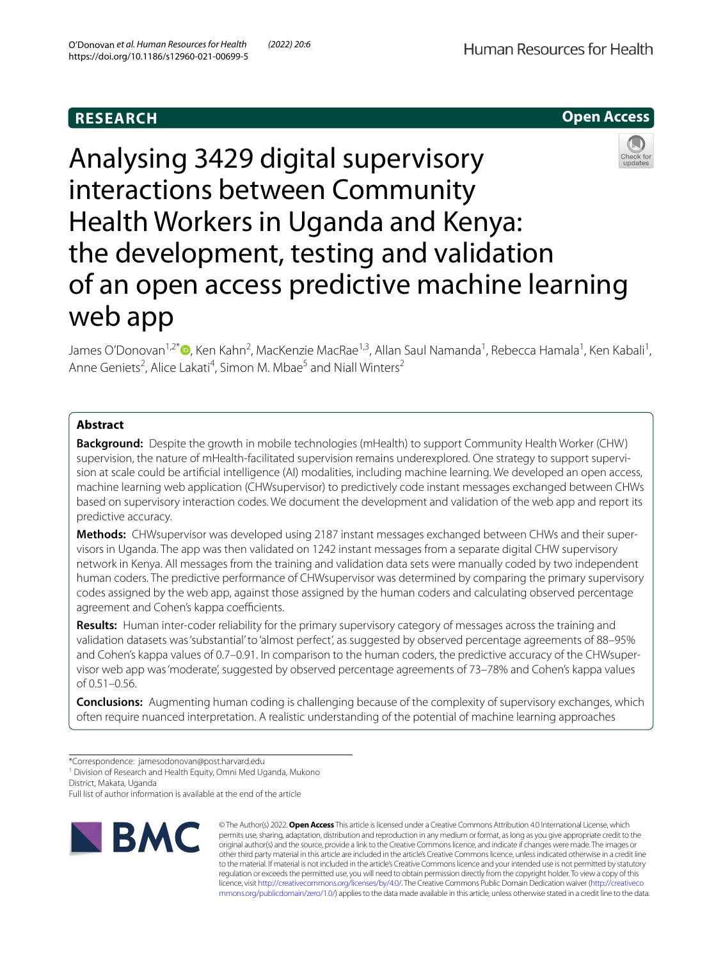# **RESEARCH**



# Analysing 3429 digital supervisory interactions between Community Health Workers in Uganda and Kenya: the development, testing and validation of an open access predictive machine learning web app

James O'Donovan<sup>1,2\*</sup>®[,](http://orcid.org/0000-0002-7248-5436) Ken Kahn<sup>2</sup>, MacKenzie MacRae<sup>1,3</sup>, Allan Saul Namanda<sup>1</sup>, Rebecca Hamala<sup>1</sup>, Ken Kabali<sup>1</sup>, Anne Geniets<sup>2</sup>, Alice Lakati<sup>4</sup>, Simon M. Mbae<sup>5</sup> and Niall Winters<sup>2</sup>

# **Abstract**

**Background:** Despite the growth in mobile technologies (mHealth) to support Community Health Worker (CHW) supervision, the nature of mHealth-facilitated supervision remains underexplored. One strategy to support supervision at scale could be artifcial intelligence (AI) modalities, including machine learning. We developed an open access, machine learning web application (CHWsupervisor) to predictively code instant messages exchanged between CHWs based on supervisory interaction codes. We document the development and validation of the web app and report its predictive accuracy.

**Methods:** CHWsupervisor was developed using 2187 instant messages exchanged between CHWs and their supervisors in Uganda. The app was then validated on 1242 instant messages from a separate digital CHW supervisory network in Kenya. All messages from the training and validation data sets were manually coded by two independent human coders. The predictive performance of CHWsupervisor was determined by comparing the primary supervisory codes assigned by the web app, against those assigned by the human coders and calculating observed percentage agreement and Cohen's kappa coefficients.

**Results:** Human inter-coder reliability for the primary supervisory category of messages across the training and validation datasets was 'substantial' to 'almost perfect', as suggested by observed percentage agreements of 88–95% and Cohen's kappa values of 0.7–0.91. In comparison to the human coders, the predictive accuracy of the CHWsupervisor web app was 'moderate', suggested by observed percentage agreements of 73–78% and Cohen's kappa values of 0.51–0.56.

**Conclusions:** Augmenting human coding is challenging because of the complexity of supervisory exchanges, which often require nuanced interpretation. A realistic understanding of the potential of machine learning approaches

<sup>1</sup> Division of Research and Health Equity, Omni Med Uganda, Mukono District, Makata, Uganda

Full list of author information is available at the end of the article



© The Author(s) 2022. **Open Access** This article is licensed under a Creative Commons Attribution 4.0 International License, which permits use, sharing, adaptation, distribution and reproduction in any medium or format, as long as you give appropriate credit to the original author(s) and the source, provide a link to the Creative Commons licence, and indicate if changes were made. The images or other third party material in this article are included in the article's Creative Commons licence, unless indicated otherwise in a credit line to the material. If material is not included in the article's Creative Commons licence and your intended use is not permitted by statutory regulation or exceeds the permitted use, you will need to obtain permission directly from the copyright holder. To view a copy of this licence, visit [http://creativecommons.org/licenses/by/4.0/.](http://creativecommons.org/licenses/by/4.0/) The Creative Commons Public Domain Dedication waiver ([http://creativeco](http://creativecommons.org/publicdomain/zero/1.0/) [mmons.org/publicdomain/zero/1.0/](http://creativecommons.org/publicdomain/zero/1.0/)) applies to the data made available in this article, unless otherwise stated in a credit line to the data.

<sup>\*</sup>Correspondence: jamesodonovan@post.harvard.edu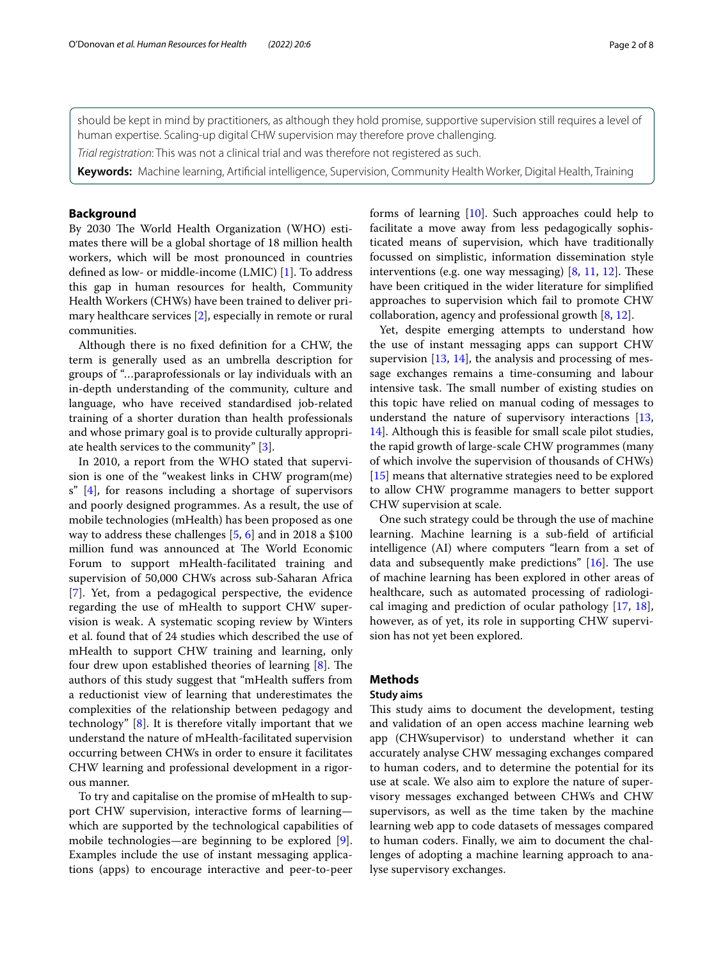should be kept in mind by practitioners, as although they hold promise, supportive supervision still requires a level of human expertise. Scaling-up digital CHW supervision may therefore prove challenging.

*Trial registration*: This was not a clinical trial and was therefore not registered as such.

**Keywords:** Machine learning, Artifcial intelligence, Supervision, Community Health Worker, Digital Health, Training

# **Background**

By 2030 The World Health Organization (WHO) estimates there will be a global shortage of 18 million health workers, which will be most pronounced in countries defned as low- or middle-income (LMIC) [[1\]](#page-7-0). To address this gap in human resources for health, Community Health Workers (CHWs) have been trained to deliver primary healthcare services [\[2\]](#page-7-1), especially in remote or rural communities.

Although there is no fxed defnition for a CHW, the term is generally used as an umbrella description for groups of "…paraprofessionals or lay individuals with an in-depth understanding of the community, culture and language, who have received standardised job-related training of a shorter duration than health professionals and whose primary goal is to provide culturally appropriate health services to the community" [\[3\]](#page-7-2).

In 2010, a report from the WHO stated that supervision is one of the "weakest links in CHW program(me) s" [[4\]](#page-7-3), for reasons including a shortage of supervisors and poorly designed programmes. As a result, the use of mobile technologies (mHealth) has been proposed as one way to address these challenges [\[5,](#page-7-4) [6\]](#page-7-5) and in 2018 a \$100 million fund was announced at The World Economic Forum to support mHealth-facilitated training and supervision of 50,000 CHWs across sub-Saharan Africa [[7\]](#page-7-6). Yet, from a pedagogical perspective, the evidence regarding the use of mHealth to support CHW supervision is weak. A systematic scoping review by Winters et al. found that of 24 studies which described the use of mHealth to support CHW training and learning, only four drew upon established theories of learning  $[8]$  $[8]$ . The authors of this study suggest that "mHealth sufers from a reductionist view of learning that underestimates the complexities of the relationship between pedagogy and technology" [[8](#page-7-7)]. It is therefore vitally important that we understand the nature of mHealth-facilitated supervision occurring between CHWs in order to ensure it facilitates CHW learning and professional development in a rigorous manner.

To try and capitalise on the promise of mHealth to support CHW supervision, interactive forms of learning which are supported by the technological capabilities of mobile technologies—are beginning to be explored [\[9](#page-7-8)]. Examples include the use of instant messaging applications (apps) to encourage interactive and peer-to-peer forms of learning [[10](#page-7-9)]. Such approaches could help to facilitate a move away from less pedagogically sophisticated means of supervision, which have traditionally focussed on simplistic, information dissemination style interventions (e.g. one way messaging)  $[8, 11, 12]$  $[8, 11, 12]$  $[8, 11, 12]$  $[8, 11, 12]$  $[8, 11, 12]$  $[8, 11, 12]$ . These have been critiqued in the wider literature for simplifed approaches to supervision which fail to promote CHW collaboration, agency and professional growth [[8,](#page-7-7) [12](#page-7-11)].

Yet, despite emerging attempts to understand how the use of instant messaging apps can support CHW supervision [\[13](#page-7-12), [14](#page-7-13)], the analysis and processing of message exchanges remains a time-consuming and labour intensive task. The small number of existing studies on this topic have relied on manual coding of messages to understand the nature of supervisory interactions [[13](#page-7-12), [14\]](#page-7-13). Although this is feasible for small scale pilot studies, the rapid growth of large-scale CHW programmes (many of which involve the supervision of thousands of CHWs) [[15\]](#page-7-14) means that alternative strategies need to be explored to allow CHW programme managers to better support CHW supervision at scale.

One such strategy could be through the use of machine learning. Machine learning is a sub-feld of artifcial intelligence (AI) where computers "learn from a set of data and subsequently make predictions"  $[16]$ . The use of machine learning has been explored in other areas of healthcare, such as automated processing of radiological imaging and prediction of ocular pathology [[17,](#page-7-16) [18](#page-7-17)], however, as of yet, its role in supporting CHW supervision has not yet been explored.

# **Methods**

#### **Study aims**

This study aims to document the development, testing and validation of an open access machine learning web app (CHWsupervisor) to understand whether it can accurately analyse CHW messaging exchanges compared to human coders, and to determine the potential for its use at scale. We also aim to explore the nature of supervisory messages exchanged between CHWs and CHW supervisors, as well as the time taken by the machine learning web app to code datasets of messages compared to human coders. Finally, we aim to document the challenges of adopting a machine learning approach to analyse supervisory exchanges.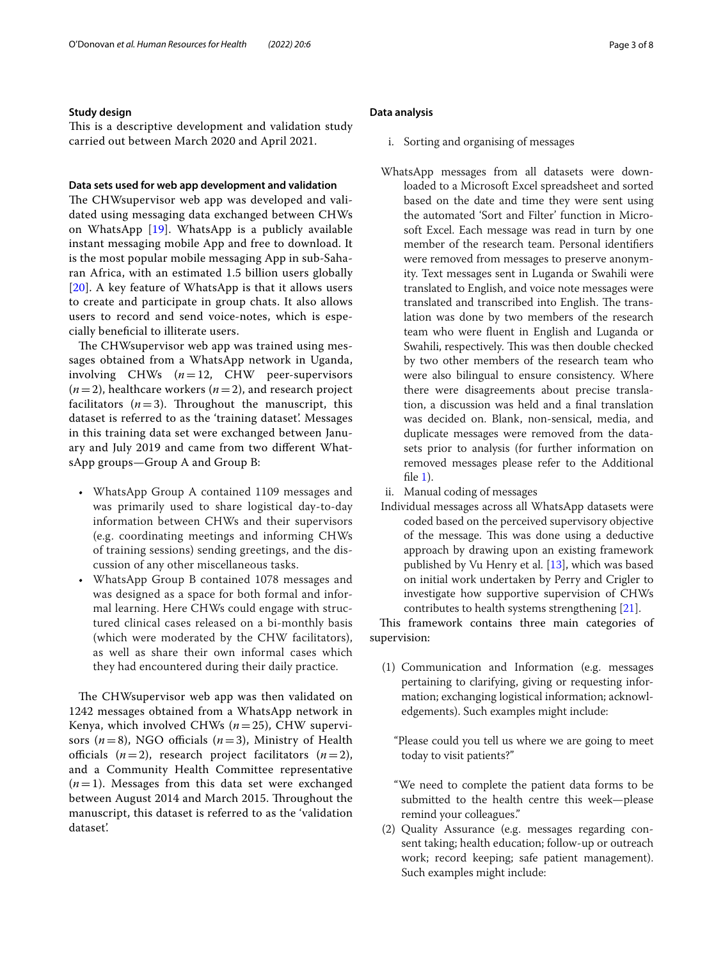#### **Study design**

This is a descriptive development and validation study carried out between March 2020 and April 2021.

## **Data sets used for web app development and validation**

The CHWsupervisor web app was developed and validated using messaging data exchanged between CHWs on WhatsApp [\[19](#page-7-18)]. WhatsApp is a publicly available instant messaging mobile App and free to download. It is the most popular mobile messaging App in sub-Saharan Africa, with an estimated 1.5 billion users globally [[20](#page-7-19)]. A key feature of WhatsApp is that it allows users to create and participate in group chats. It also allows users to record and send voice-notes, which is especially benefcial to illiterate users.

The CHWsupervisor web app was trained using messages obtained from a WhatsApp network in Uganda, involving CHWs (*n*=12, CHW peer-supervisors  $(n=2)$ , healthcare workers  $(n=2)$ , and research project facilitators  $(n=3)$ . Throughout the manuscript, this dataset is referred to as the 'training dataset'. Messages in this training data set were exchanged between January and July 2019 and came from two diferent WhatsApp groups—Group A and Group B:

- WhatsApp Group A contained 1109 messages and was primarily used to share logistical day-to-day information between CHWs and their supervisors (e.g. coordinating meetings and informing CHWs of training sessions) sending greetings, and the discussion of any other miscellaneous tasks.
- WhatsApp Group B contained 1078 messages and was designed as a space for both formal and informal learning. Here CHWs could engage with structured clinical cases released on a bi-monthly basis (which were moderated by the CHW facilitators), as well as share their own informal cases which they had encountered during their daily practice.

The CHW supervisor web app was then validated on 1242 messages obtained from a WhatsApp network in Kenya, which involved CHWs (*n*=25), CHW supervisors  $(n=8)$ , NGO officials  $(n=3)$ , Ministry of Health officials  $(n=2)$ , research project facilitators  $(n=2)$ , and a Community Health Committee representative  $(n=1)$ . Messages from this data set were exchanged between August 2014 and March 2015. Throughout the manuscript, this dataset is referred to as the 'validation dataset'.

## **Data analysis**

- i. Sorting and organising of messages
- WhatsApp messages from all datasets were downloaded to a Microsoft Excel spreadsheet and sorted based on the date and time they were sent using the automated 'Sort and Filter' function in Microsoft Excel. Each message was read in turn by one member of the research team. Personal identifers were removed from messages to preserve anonymity. Text messages sent in Luganda or Swahili were translated to English, and voice note messages were translated and transcribed into English. The translation was done by two members of the research team who were fuent in English and Luganda or Swahili, respectively. This was then double checked by two other members of the research team who were also bilingual to ensure consistency. Where there were disagreements about precise translation, a discussion was held and a fnal translation was decided on. Blank, non-sensical, media, and duplicate messages were removed from the datasets prior to analysis (for further information on removed messages please refer to the Additional fle [1\)](#page-6-0).
- ii. Manual coding of messages
- Individual messages across all WhatsApp datasets were coded based on the perceived supervisory objective of the message. This was done using a deductive approach by drawing upon an existing framework published by Vu Henry et al. [\[13\]](#page-7-12), which was based on initial work undertaken by Perry and Crigler to investigate how supportive supervision of CHWs contributes to health systems strengthening [\[21](#page-7-20)].

This framework contains three main categories of supervision:

(1) Communication and Information (e.g. messages pertaining to clarifying, giving or requesting information; exchanging logistical information; acknowledgements). Such examples might include:

"Please could you tell us where we are going to meet today to visit patients?"

- "We need to complete the patient data forms to be submitted to the health centre this week—please remind your colleagues."
- (2) Quality Assurance (e.g. messages regarding consent taking; health education; follow-up or outreach work; record keeping; safe patient management). Such examples might include: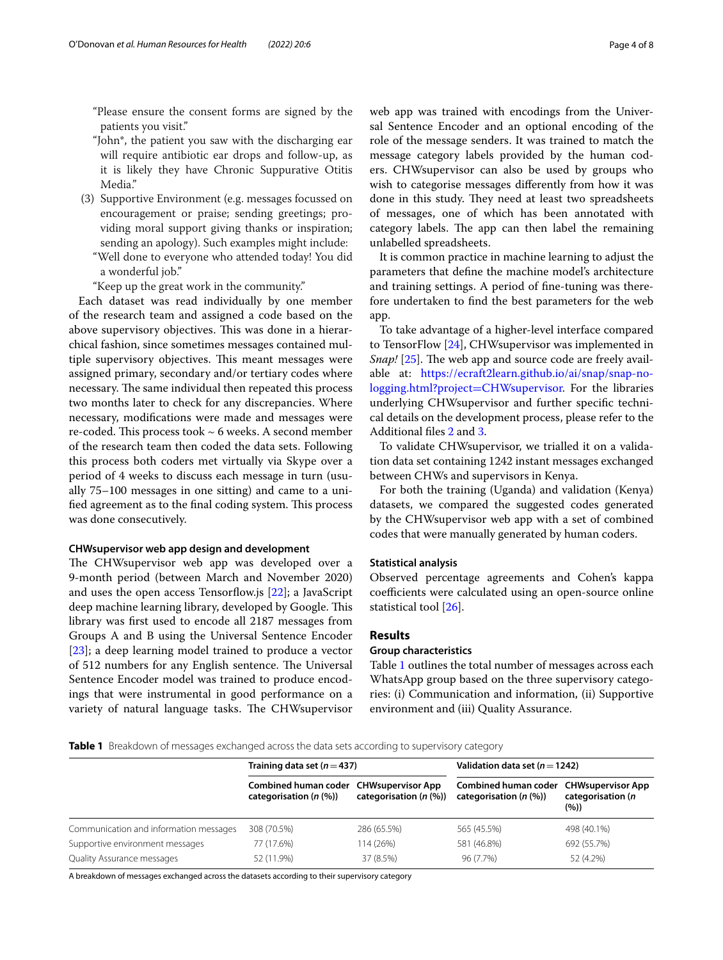"Please ensure the consent forms are signed by the patients you visit."

- "John\*, the patient you saw with the discharging ear will require antibiotic ear drops and follow-up, as it is likely they have Chronic Suppurative Otitis Media."
- (3) Supportive Environment (e.g. messages focussed on encouragement or praise; sending greetings; providing moral support giving thanks or inspiration; sending an apology). Such examples might include:
	- "Well done to everyone who attended today! You did a wonderful job."

"Keep up the great work in the community."

Each dataset was read individually by one member of the research team and assigned a code based on the above supervisory objectives. This was done in a hierarchical fashion, since sometimes messages contained multiple supervisory objectives. This meant messages were assigned primary, secondary and/or tertiary codes where necessary. The same individual then repeated this process two months later to check for any discrepancies. Where necessary, modifcations were made and messages were re-coded. This process took  $\sim$  6 weeks. A second member of the research team then coded the data sets. Following this process both coders met virtually via Skype over a period of 4 weeks to discuss each message in turn (usually 75–100 messages in one sitting) and came to a unified agreement as to the final coding system. This process was done consecutively.

#### **CHWsupervisor web app design and development**

The CHW supervisor web app was developed over a 9-month period (between March and November 2020) and uses the open access Tensorflow.js [[22](#page-7-21)]; a JavaScript deep machine learning library, developed by Google. This library was frst used to encode all 2187 messages from Groups A and B using the Universal Sentence Encoder [[23\]](#page-7-22); a deep learning model trained to produce a vector of 512 numbers for any English sentence. The Universal Sentence Encoder model was trained to produce encodings that were instrumental in good performance on a variety of natural language tasks. The CHWsupervisor web app was trained with encodings from the Universal Sentence Encoder and an optional encoding of the role of the message senders. It was trained to match the message category labels provided by the human coders. CHWsupervisor can also be used by groups who wish to categorise messages diferently from how it was done in this study. They need at least two spreadsheets of messages, one of which has been annotated with category labels. The app can then label the remaining unlabelled spreadsheets.

It is common practice in machine learning to adjust the parameters that defne the machine model's architecture and training settings. A period of fne-tuning was therefore undertaken to fnd the best parameters for the web app.

To take advantage of a higher-level interface compared to TensorFlow [\[24\]](#page-7-23), CHWsupervisor was implemented in *Snap!* [\[25](#page-7-24)]. The web app and source code are freely available at: [https://ecraft2learn.github.io/ai/snap/snap-no](https://ecraft2learn.github.io/ai/snap/snap-no-logging.html?project=CHWsupervisor)[logging.html?project](https://ecraft2learn.github.io/ai/snap/snap-no-logging.html?project=CHWsupervisor)=CHWsupervisor. For the libraries underlying CHWsupervisor and further specifc technical details on the development process, please refer to the Additional fles [2](#page-6-1) and [3.](#page-6-2)

To validate CHWsupervisor, we trialled it on a validation data set containing 1242 instant messages exchanged between CHWs and supervisors in Kenya.

For both the training (Uganda) and validation (Kenya) datasets, we compared the suggested codes generated by the CHWsupervisor web app with a set of combined codes that were manually generated by human coders.

#### **Statistical analysis**

Observed percentage agreements and Cohen's kappa coefficients were calculated using an open-source online statistical tool [\[26](#page-7-25)].

### **Results**

#### **Group characteristics**

Table [1](#page-3-0) outlines the total number of messages across each WhatsApp group based on the three supervisory categories: (i) Communication and information, (ii) Supportive environment and (iii) Quality Assurance.

<span id="page-3-0"></span>**Table 1** Breakdown of messages exchanged across the data sets according to supervisory category

|                                        | Training data set $(n=437)$                         |                                                        | Validation data set ( $n = 1242$ )                                    |                           |
|----------------------------------------|-----------------------------------------------------|--------------------------------------------------------|-----------------------------------------------------------------------|---------------------------|
|                                        | Combined human coder<br>categorisation $(n \, (\%)$ | <b>CHWsupervisor App</b><br>categorisation $(n \, 96)$ | Combined human coder CHWsupervisor App<br>categorisation $(n \, (\%)$ | categorisation (n<br>(96) |
| Communication and information messages | 308 (70.5%)                                         | 286 (65.5%)                                            | 565 (45.5%)                                                           | 498 (40.1%)               |
| Supportive environment messages        | 77 (17.6%)                                          | 114 (26%)                                              | 581 (46.8%)                                                           | 692 (55.7%)               |
| Quality Assurance messages             | 52 (11.9%)                                          | 37 (8.5%)                                              | 96 (7.7%)                                                             | 52 (4.2%)                 |

A breakdown of messages exchanged across the datasets according to their supervisory category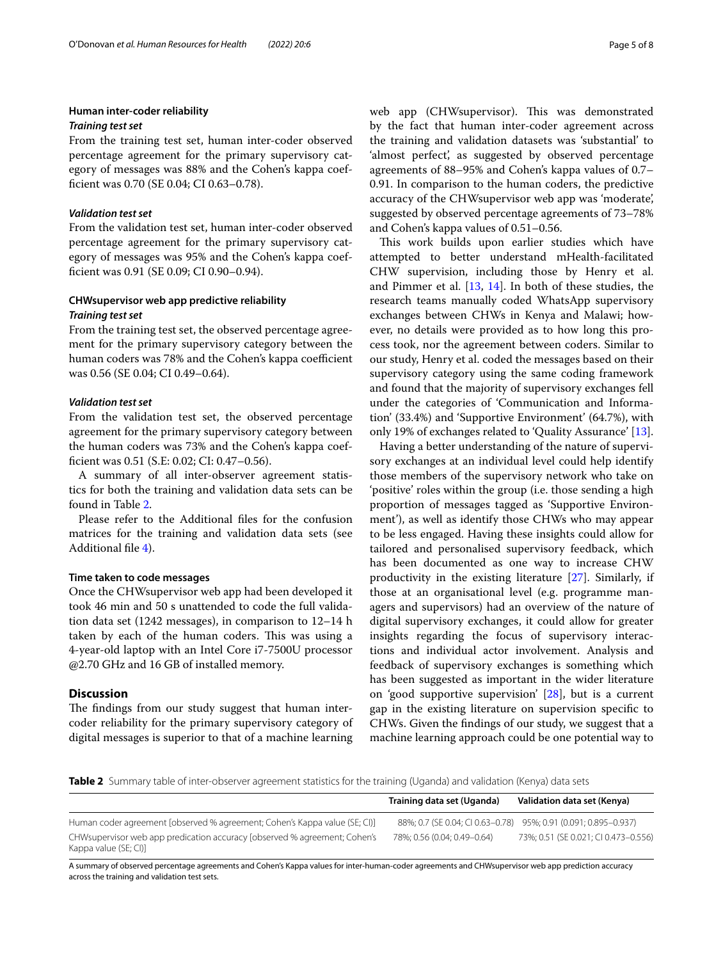#### **Human inter‑coder reliability**

#### *Training test set*

From the training test set, human inter-coder observed percentage agreement for the primary supervisory category of messages was 88% and the Cohen's kappa coeffcient was 0.70 (SE 0.04; CI 0.63–0.78).

### *Validation test set*

From the validation test set, human inter-coder observed percentage agreement for the primary supervisory category of messages was 95% and the Cohen's kappa coeffcient was 0.91 (SE 0.09; CI 0.90–0.94).

# **CHWsupervisor web app predictive reliability**

# *Training test set*

From the training test set, the observed percentage agreement for the primary supervisory category between the human coders was 78% and the Cohen's kappa coefficient was 0.56 (SE 0.04; CI 0.49–0.64).

# *Validation test set*

From the validation test set, the observed percentage agreement for the primary supervisory category between the human coders was 73% and the Cohen's kappa coeffcient was 0.51 (S.E: 0.02; CI: 0.47–0.56).

A summary of all inter-observer agreement statistics for both the training and validation data sets can be found in Table [2.](#page-4-0)

Please refer to the Additional fles for the confusion matrices for the training and validation data sets (see Additional fle [4](#page-6-3)).

### **Time taken to code messages**

Once the CHWsupervisor web app had been developed it took 46 min and 50 s unattended to code the full validation data set (1242 messages), in comparison to 12–14 h taken by each of the human coders. This was using a 4-year-old laptop with an Intel Core i7-7500U processor @2.70 GHz and 16 GB of installed memory.

## **Discussion**

The findings from our study suggest that human intercoder reliability for the primary supervisory category of digital messages is superior to that of a machine learning web app (CHWsupervisor). This was demonstrated by the fact that human inter-coder agreement across the training and validation datasets was 'substantial' to 'almost perfect', as suggested by observed percentage agreements of 88–95% and Cohen's kappa values of 0.7– 0.91. In comparison to the human coders, the predictive accuracy of the CHWsupervisor web app was 'moderate', suggested by observed percentage agreements of 73–78% and Cohen's kappa values of 0.51–0.56.

This work builds upon earlier studies which have attempted to better understand mHealth-facilitated CHW supervision, including those by Henry et al. and Pimmer et al. [\[13](#page-7-12), [14\]](#page-7-13). In both of these studies, the research teams manually coded WhatsApp supervisory exchanges between CHWs in Kenya and Malawi; however, no details were provided as to how long this process took, nor the agreement between coders. Similar to our study, Henry et al. coded the messages based on their supervisory category using the same coding framework and found that the majority of supervisory exchanges fell under the categories of 'Communication and Information' (33.4%) and 'Supportive Environment' (64.7%), with only 19% of exchanges related to 'Quality Assurance' [\[13](#page-7-12)].

Having a better understanding of the nature of supervisory exchanges at an individual level could help identify those members of the supervisory network who take on 'positive' roles within the group (i.e. those sending a high proportion of messages tagged as 'Supportive Environment'), as well as identify those CHWs who may appear to be less engaged. Having these insights could allow for tailored and personalised supervisory feedback, which has been documented as one way to increase CHW productivity in the existing literature [[27\]](#page-7-26). Similarly, if those at an organisational level (e.g. programme managers and supervisors) had an overview of the nature of digital supervisory exchanges, it could allow for greater insights regarding the focus of supervisory interactions and individual actor involvement. Analysis and feedback of supervisory exchanges is something which has been suggested as important in the wider literature on 'good supportive supervision' [[28\]](#page-7-27), but is a current gap in the existing literature on supervision specifc to CHWs. Given the fndings of our study, we suggest that a machine learning approach could be one potential way to

<span id="page-4-0"></span>**Table 2** Summary table of inter-observer agreement statistics for the training (Uganda) and validation (Kenya) data sets

|                                                                                                    | Training data set (Uganda)  | Validation data set (Kenya)                                     |
|----------------------------------------------------------------------------------------------------|-----------------------------|-----------------------------------------------------------------|
| Human coder agreement [observed % agreement; Cohen's Kappa value (SE; CI)]                         |                             | 88%; 0.7 (SE 0.04; CI 0.63-0.78) 95%; 0.91 (0.091; 0.895-0.937) |
| CHWsupervisor web app predication accuracy [observed % agreement; Cohen's<br>Kappa value (SE; CI)] | 78%: 0.56 (0.04: 0.49-0.64) | 73%; 0.51 (SE 0.021; CI 0.473-0.556)                            |

A summary of observed percentage agreements and Cohen's Kappa values for inter-human-coder agreements and CHWsupervisor web app prediction accuracy across the training and validation test sets.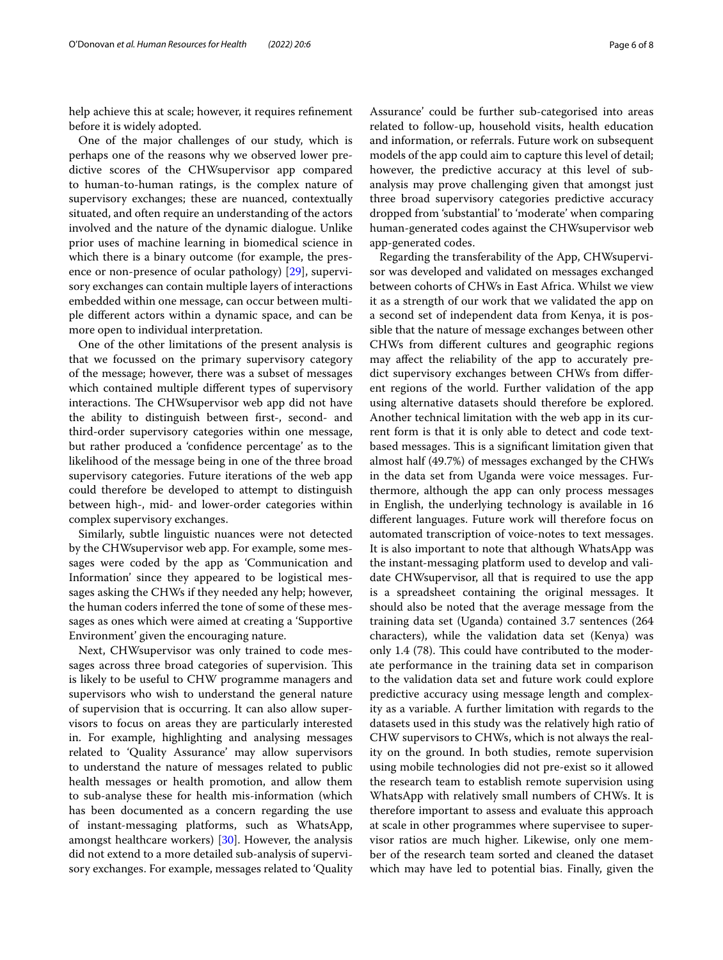help achieve this at scale; however, it requires refnement before it is widely adopted.

One of the major challenges of our study, which is perhaps one of the reasons why we observed lower predictive scores of the CHWsupervisor app compared to human-to-human ratings, is the complex nature of supervisory exchanges; these are nuanced, contextually situated, and often require an understanding of the actors involved and the nature of the dynamic dialogue. Unlike prior uses of machine learning in biomedical science in which there is a binary outcome (for example, the presence or non-presence of ocular pathology) [\[29](#page-7-28)], supervisory exchanges can contain multiple layers of interactions embedded within one message, can occur between multiple diferent actors within a dynamic space, and can be more open to individual interpretation.

One of the other limitations of the present analysis is that we focussed on the primary supervisory category of the message; however, there was a subset of messages which contained multiple diferent types of supervisory interactions. The CHWsupervisor web app did not have the ability to distinguish between frst-, second- and third-order supervisory categories within one message, but rather produced a 'confdence percentage' as to the likelihood of the message being in one of the three broad supervisory categories. Future iterations of the web app could therefore be developed to attempt to distinguish between high-, mid- and lower-order categories within complex supervisory exchanges.

Similarly, subtle linguistic nuances were not detected by the CHWsupervisor web app. For example, some messages were coded by the app as 'Communication and Information' since they appeared to be logistical messages asking the CHWs if they needed any help; however, the human coders inferred the tone of some of these messages as ones which were aimed at creating a 'Supportive Environment' given the encouraging nature.

Next, CHWsupervisor was only trained to code messages across three broad categories of supervision. This is likely to be useful to CHW programme managers and supervisors who wish to understand the general nature of supervision that is occurring. It can also allow supervisors to focus on areas they are particularly interested in. For example, highlighting and analysing messages related to 'Quality Assurance' may allow supervisors to understand the nature of messages related to public health messages or health promotion, and allow them to sub-analyse these for health mis-information (which has been documented as a concern regarding the use of instant-messaging platforms, such as WhatsApp, amongst healthcare workers) [[30\]](#page-7-29). However, the analysis did not extend to a more detailed sub-analysis of supervisory exchanges. For example, messages related to 'Quality Assurance' could be further sub-categorised into areas related to follow-up, household visits, health education and information, or referrals. Future work on subsequent models of the app could aim to capture this level of detail; however, the predictive accuracy at this level of subanalysis may prove challenging given that amongst just three broad supervisory categories predictive accuracy dropped from 'substantial' to 'moderate' when comparing human-generated codes against the CHWsupervisor web app-generated codes.

Regarding the transferability of the App, CHWsupervisor was developed and validated on messages exchanged between cohorts of CHWs in East Africa. Whilst we view it as a strength of our work that we validated the app on a second set of independent data from Kenya, it is possible that the nature of message exchanges between other CHWs from diferent cultures and geographic regions may afect the reliability of the app to accurately predict supervisory exchanges between CHWs from diferent regions of the world. Further validation of the app using alternative datasets should therefore be explored. Another technical limitation with the web app in its current form is that it is only able to detect and code textbased messages. This is a significant limitation given that almost half (49.7%) of messages exchanged by the CHWs in the data set from Uganda were voice messages. Furthermore, although the app can only process messages in English, the underlying technology is available in 16 diferent languages. Future work will therefore focus on automated transcription of voice-notes to text messages. It is also important to note that although WhatsApp was the instant-messaging platform used to develop and validate CHWsupervisor, all that is required to use the app is a spreadsheet containing the original messages. It should also be noted that the average message from the training data set (Uganda) contained 3.7 sentences (264 characters), while the validation data set (Kenya) was only 1.4 (78). This could have contributed to the moderate performance in the training data set in comparison to the validation data set and future work could explore predictive accuracy using message length and complexity as a variable. A further limitation with regards to the datasets used in this study was the relatively high ratio of CHW supervisors to CHWs, which is not always the reality on the ground. In both studies, remote supervision using mobile technologies did not pre-exist so it allowed the research team to establish remote supervision using WhatsApp with relatively small numbers of CHWs. It is therefore important to assess and evaluate this approach at scale in other programmes where supervisee to supervisor ratios are much higher. Likewise, only one member of the research team sorted and cleaned the dataset which may have led to potential bias. Finally, given the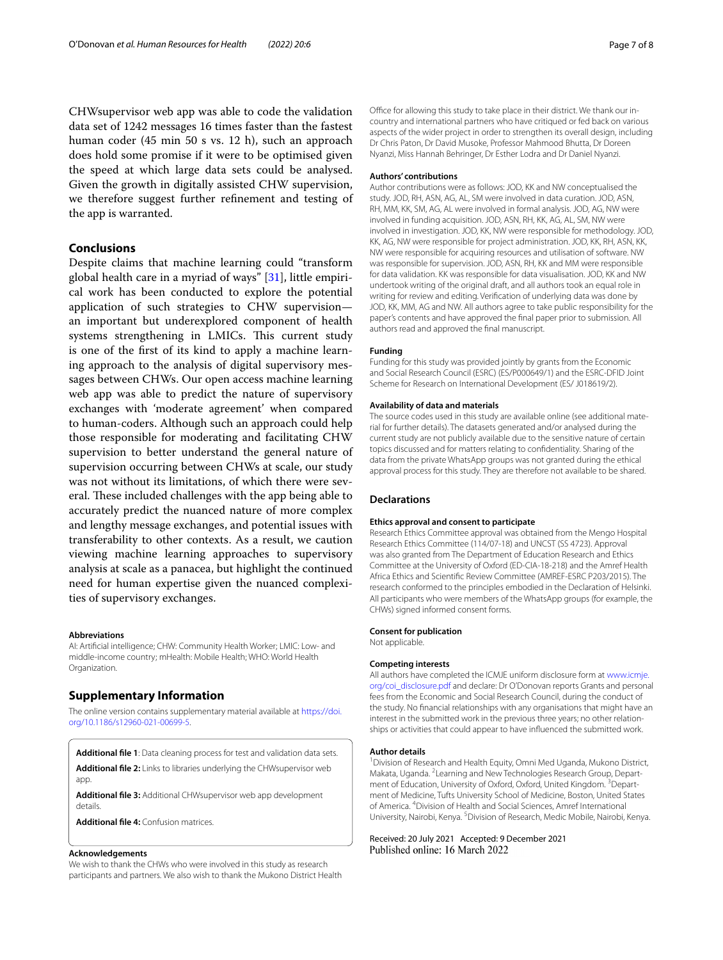CHWsupervisor web app was able to code the validation data set of 1242 messages 16 times faster than the fastest human coder (45 min 50 s vs. 12 h), such an approach does hold some promise if it were to be optimised given the speed at which large data sets could be analysed. Given the growth in digitally assisted CHW supervision, we therefore suggest further refnement and testing of the app is warranted.

# **Conclusions**

Despite claims that machine learning could "transform global health care in a myriad of ways"  $[31]$  $[31]$ , little empirical work has been conducted to explore the potential application of such strategies to CHW supervision an important but underexplored component of health systems strengthening in LMICs. This current study is one of the frst of its kind to apply a machine learning approach to the analysis of digital supervisory messages between CHWs. Our open access machine learning web app was able to predict the nature of supervisory exchanges with 'moderate agreement' when compared to human-coders. Although such an approach could help those responsible for moderating and facilitating CHW supervision to better understand the general nature of supervision occurring between CHWs at scale, our study was not without its limitations, of which there were several. These included challenges with the app being able to accurately predict the nuanced nature of more complex and lengthy message exchanges, and potential issues with transferability to other contexts. As a result, we caution viewing machine learning approaches to supervisory analysis at scale as a panacea, but highlight the continued need for human expertise given the nuanced complexities of supervisory exchanges.

#### **Abbreviations**

AI: Artifcial intelligence; CHW: Community Health Worker; LMIC: Low- and middle-income country; mHealth: Mobile Health; WHO: World Health Organization.

#### **Supplementary Information**

The online version contains supplementary material available at [https://doi.](https://doi.org/10.1186/s12960-021-00699-5) [org/10.1186/s12960-021-00699-5](https://doi.org/10.1186/s12960-021-00699-5).

<span id="page-6-1"></span><span id="page-6-0"></span>**Additional fle 1**: Data cleaning process for test and validation data sets.

<span id="page-6-2"></span>**Additional fle 2:** Links to libraries underlying the CHWsupervisor web app.

<span id="page-6-3"></span>**Additional fle 3:** Additional CHWsupervisor web app development details.

**Additional fle 4:** Confusion matrices.

#### **Acknowledgements**

We wish to thank the CHWs who were involved in this study as research participants and partners. We also wish to thank the Mukono District Health Office for allowing this study to take place in their district. We thank our incountry and international partners who have critiqued or fed back on various aspects of the wider project in order to strengthen its overall design, including Dr Chris Paton, Dr David Musoke, Professor Mahmood Bhutta, Dr Doreen Nyanzi, Miss Hannah Behringer, Dr Esther Lodra and Dr Daniel Nyanzi.

#### **Authors' contributions**

Author contributions were as follows: JOD, KK and NW conceptualised the study. JOD, RH, ASN, AG, AL, SM were involved in data curation. JOD, ASN, RH, MM, KK, SM, AG, AL were involved in formal analysis. JOD, AG, NW were involved in funding acquisition. JOD, ASN, RH, KK, AG, AL, SM, NW were involved in investigation. JOD, KK, NW were responsible for methodology. JOD, KK, AG, NW were responsible for project administration. JOD, KK, RH, ASN, KK, NW were responsible for acquiring resources and utilisation of software. NW was responsible for supervision. JOD, ASN, RH, KK and MM were responsible for data validation. KK was responsible for data visualisation. JOD, KK and NW undertook writing of the original draft, and all authors took an equal role in writing for review and editing. Verifcation of underlying data was done by JOD, KK, MM, AG and NW. All authors agree to take public responsibility for the paper's contents and have approved the fnal paper prior to submission. All authors read and approved the fnal manuscript.

#### **Funding**

Funding for this study was provided jointly by grants from the Economic and Social Research Council (ESRC) (ES/P000649/1) and the ESRC-DFID Joint Scheme for Research on International Development (ES/ J018619/2).

#### **Availability of data and materials**

The source codes used in this study are available online (see additional material for further details). The datasets generated and/or analysed during the current study are not publicly available due to the sensitive nature of certain topics discussed and for matters relating to confdentiality. Sharing of the data from the private WhatsApp groups was not granted during the ethical approval process for this study. They are therefore not available to be shared.

#### **Declarations**

#### **Ethics approval and consent to participate**

Research Ethics Committee approval was obtained from the Mengo Hospital Research Ethics Committee (114/07-18) and UNCST (SS 4723). Approval was also granted from The Department of Education Research and Ethics Committee at the University of Oxford (ED-CIA-18-218) and the Amref Health Africa Ethics and Scientifc Review Committee (AMREF-ESRC P203/2015). The research conformed to the principles embodied in the Declaration of Helsinki. All participants who were members of the WhatsApp groups (for example, the CHWs) signed informed consent forms.

#### **Consent for publication**

Not applicable.

#### **Competing interests**

All authors have completed the ICMJE uniform disclosure form at [www.icmje.](http://www.icmje.org/coi_disclosure.pdf) [org/coi\\_disclosure.pdf](http://www.icmje.org/coi_disclosure.pdf) and declare: Dr O'Donovan reports Grants and personal fees from the Economic and Social Research Council, during the conduct of the study. No fnancial relationships with any organisations that might have an interest in the submitted work in the previous three years; no other relationships or activities that could appear to have infuenced the submitted work.

#### **Author details**

<sup>1</sup> Division of Research and Health Equity, Omni Med Uganda, Mukono District, Makata, Uganda. <sup>2</sup> Learning and New Technologies Research Group, Department of Education, University of Oxford, Oxford, United Kingdom. <sup>3</sup> Department of Medicine, Tufts University School of Medicine, Boston, United States of America. 4 Division of Health and Social Sciences, Amref International University, Nairobi, Kenya. <sup>5</sup> Division of Research, Medic Mobile, Nairobi, Kenya.

Received: 20 July 2021 Accepted: 9 December 2021Published online: 16 March 2022